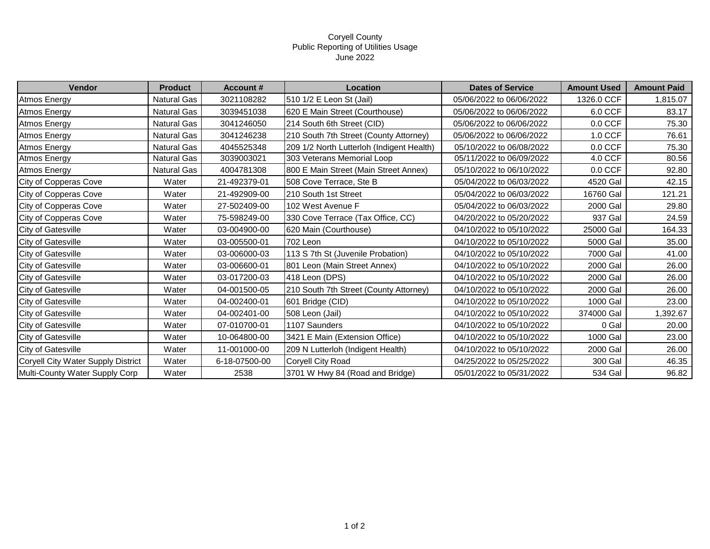## Coryell County Public Reporting of Utilities Usage June 2022

| Vendor                             | <b>Product</b>     | <b>Account #</b> | Location                                  | <b>Dates of Service</b>  | <b>Amount Used</b> | <b>Amount Paid</b> |
|------------------------------------|--------------------|------------------|-------------------------------------------|--------------------------|--------------------|--------------------|
| <b>Atmos Energy</b>                | <b>Natural Gas</b> | 3021108282       | 510 1/2 E Leon St (Jail)                  | 05/06/2022 to 06/06/2022 | 1326.0 CCF         | 1,815.07           |
| Atmos Energy                       | Natural Gas        | 3039451038       | 620 E Main Street (Courthouse)            | 05/06/2022 to 06/06/2022 | 6.0 CCF            | 83.17              |
| Atmos Energy                       | Natural Gas        | 3041246050       | 214 South 6th Street (CID)                | 05/06/2022 to 06/06/2022 | $0.0$ CCF          | 75.30              |
| <b>Atmos Energy</b>                | Natural Gas        | 3041246238       | 210 South 7th Street (County Attorney)    | 05/06/2022 to 06/06/2022 | 1.0 CCF            | 76.61              |
| <b>Atmos Energy</b>                | Natural Gas        | 4045525348       | 209 1/2 North Lutterloh (Indigent Health) | 05/10/2022 to 06/08/2022 | $0.0$ CCF          | 75.30              |
| Atmos Energy                       | Natural Gas        | 3039003021       | 303 Veterans Memorial Loop                | 05/11/2022 to 06/09/2022 | 4.0 CCF            | 80.56              |
| Atmos Energy                       | <b>Natural Gas</b> | 4004781308       | 800 E Main Street (Main Street Annex)     | 05/10/2022 to 06/10/2022 | $0.0$ CCF          | 92.80              |
| City of Copperas Cove              | Water              | 21-492379-01     | 508 Cove Terrace, Ste B                   | 05/04/2022 to 06/03/2022 | 4520 Gal           | 42.15              |
| City of Copperas Cove              | Water              | 21-492909-00     | 210 South 1st Street                      | 05/04/2022 to 06/03/2022 | 16760 Gal          | 121.21             |
| City of Copperas Cove              | Water              | 27-502409-00     | 102 West Avenue F                         | 05/04/2022 to 06/03/2022 | 2000 Gal           | 29.80              |
| City of Copperas Cove              | Water              | 75-598249-00     | 330 Cove Terrace (Tax Office, CC)         | 04/20/2022 to 05/20/2022 | 937 Gal            | 24.59              |
| <b>City of Gatesville</b>          | Water              | 03-004900-00     | 620 Main (Courthouse)                     | 04/10/2022 to 05/10/2022 | 25000 Gal          | 164.33             |
| City of Gatesville                 | Water              | 03-005500-01     | 702 Leon                                  | 04/10/2022 to 05/10/2022 | 5000 Gal           | 35.00              |
| City of Gatesville                 | Water              | 03-006000-03     | 113 S 7th St (Juvenile Probation)         | 04/10/2022 to 05/10/2022 | 7000 Gal           | 41.00              |
| City of Gatesville                 | Water              | 03-006600-01     | 801 Leon (Main Street Annex)              | 04/10/2022 to 05/10/2022 | 2000 Gal           | 26.00              |
| <b>City of Gatesville</b>          | Water              | 03-017200-03     | 418 Leon (DPS)                            | 04/10/2022 to 05/10/2022 | 2000 Gal           | 26.00              |
| City of Gatesville                 | Water              | 04-001500-05     | 210 South 7th Street (County Attorney)    | 04/10/2022 to 05/10/2022 | 2000 Gal           | 26.00              |
| <b>City of Gatesville</b>          | Water              | 04-002400-01     | 601 Bridge (CID)                          | 04/10/2022 to 05/10/2022 | 1000 Gal           | 23.00              |
| City of Gatesville                 | Water              | 04-002401-00     | 508 Leon (Jail)                           | 04/10/2022 to 05/10/2022 | 374000 Gal         | 1,392.67           |
| City of Gatesville                 | Water              | 07-010700-01     | 1107 Saunders                             | 04/10/2022 to 05/10/2022 | 0 Gal              | 20.00              |
| City of Gatesville                 | Water              | 10-064800-00     | 3421 E Main (Extension Office)            | 04/10/2022 to 05/10/2022 | 1000 Gal           | 23.00              |
| <b>City of Gatesville</b>          | Water              | 11-001000-00     | 209 N Lutterloh (Indigent Health)         | 04/10/2022 to 05/10/2022 | 2000 Gal           | 26.00              |
| Coryell City Water Supply District | Water              | 6-18-07500-00    | Coryell City Road                         | 04/25/2022 to 05/25/2022 | 300 Gal            | 46.35              |
| Multi-County Water Supply Corp     | Water              | 2538             | 3701 W Hwy 84 (Road and Bridge)           | 05/01/2022 to 05/31/2022 | 534 Gal            | 96.82              |